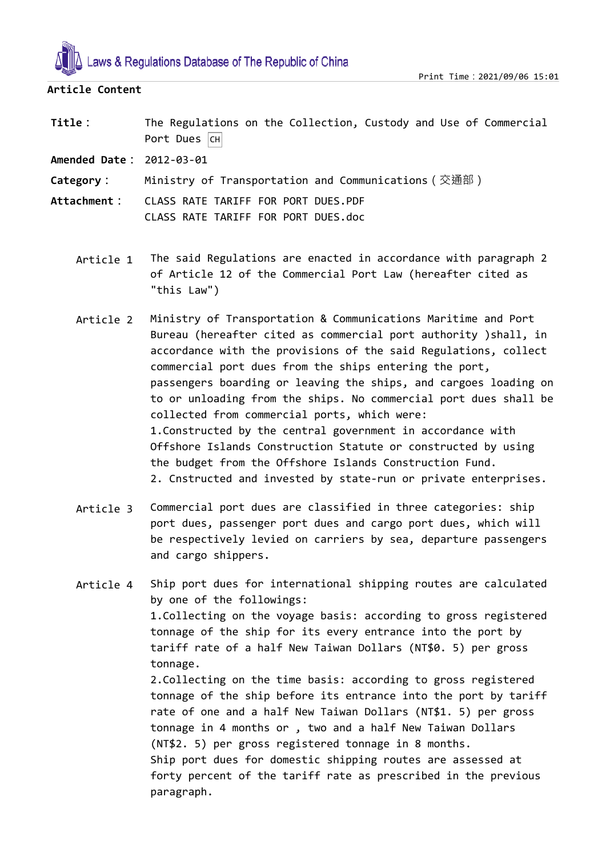

## **Article Content**

Title: The Regulations on the Collection, Custody and Use of Commercial Port Dues  $CH$ 

**Amended Date:** 2012-03-01

- **Category:** Ministry of Transportation and Communications(交通部)
- **Attachment:** CLASS RATE TARIFF FOR PORT DUES.PDF CLASS RATE TARIFF FOR PORT DUES.doc

paragraph.

- Article 1 The said Regulations are enacted in accordance with paragraph 2 of Article 12 of the Commercial Port Law (hereafter cited as "this Law")
- Article 2 Ministry of Transportation & Communications Maritime and Port Bureau (hereafter cited as commercial port authority )shall, in accordance with the provisions of the said Regulations, collect commercial port dues from the ships entering the port, passengers boarding or leaving the ships, and cargoes loading on to or unloading from the ships. No commercial port dues shall be collected from commercial ports, which were: 1.Constructed by the central government in accordance with Offshore Islands Construction Statute or constructed by using the budget from the Offshore Islands Construction Fund. 2. Cnstructed and invested by state-run or private enterprises.
- Article 3 Commercial port dues are classified in three categories: ship port dues, passenger port dues and cargo port dues, which will be respectively levied on carriers by sea, departure passengers and cargo shippers.
- Article 4 Ship port dues for international shipping routes are calculated by one of the followings: 1.Collecting on the voyage basis: according to gross registered tonnage of the ship for its every entrance into the port by tariff rate of a half New Taiwan Dollars (NT\$0. 5) per gross tonnage. 2.Collecting on the time basis: according to gross registered tonnage of the ship before its entrance into the port by tariff rate of one and a half New Taiwan Dollars (NT\$1. 5) per gross tonnage in 4 months or , two and a half New Taiwan Dollars (NT\$2. 5) per gross registered tonnage in 8 months. Ship port dues for domestic shipping routes are assessed at forty percent of the tariff rate as prescribed in the previous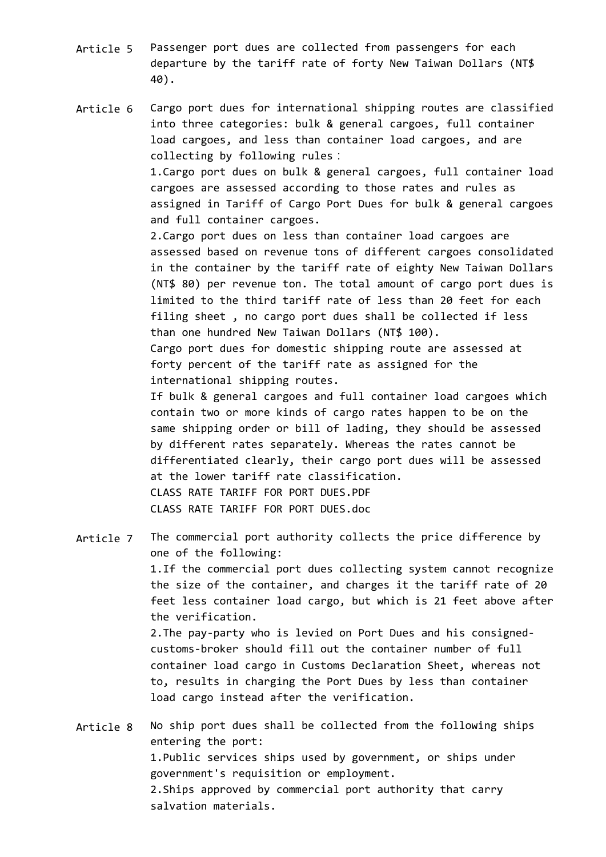- Article 5 Passenger port dues are collected from passengers for each departure by the tariff rate of forty New Taiwan Dollars (NT\$ 40).
- Article 6 Cargo port dues for international shipping routes are classified into three categories: bulk & general cargoes, full container load cargoes, and less than container load cargoes, and are collecting by following rules: 1.Cargo port dues on bulk & general cargoes, full container load cargoes are assessed according to those rates and rules as assigned in Tariff of Cargo Port Dues for bulk & general cargoes and full container cargoes. 2.Cargo port dues on less than container load cargoes are assessed based on revenue tons of different cargoes consolidated in the container by the tariff rate of eighty New Taiwan Dollars (NT\$ 80) per revenue ton. The total amount of cargo port dues is limited to the third tariff rate of less than 20 feet for each filing sheet , no cargo port dues shall be collected if less than one hundred New Taiwan Dollars (NT\$ 100). Cargo port dues for domestic shipping route are assessed at forty percent of the tariff rate as assigned for the international shipping routes. If bulk & general cargoes and full container load cargoes which contain two or more kinds of cargo rates happen to be on the

same shipping order or bill of lading, they should be assessed by different rates separately. Whereas the rates cannot be differentiated clearly, their cargo port dues will be assessed at the lower tariff rate classification. CLASS RATE TARIFF FOR PORT DUES.PDF CLASS RATE TARIFF FOR PORT DUES.doc

Article 7 The commercial port authority collects the price difference by one of the following: 1.If the commercial port dues collecting system cannot recognize the size of the container, and charges it the tariff rate of 20 feet less container load cargo, but which is 21 feet above after the verification. 2.The pay-party who is levied on Port Dues and his consignedcustoms-broker should fill out the container number of full container load cargo in Customs Declaration Sheet, whereas not to, results in charging the Port Dues by less than container load cargo instead after the verification.

Article 8 No ship port dues shall be collected from the following ships entering the port: 1.Public services ships used by government, or ships under government's requisition or employment. 2.Ships approved by commercial port authority that carry salvation materials.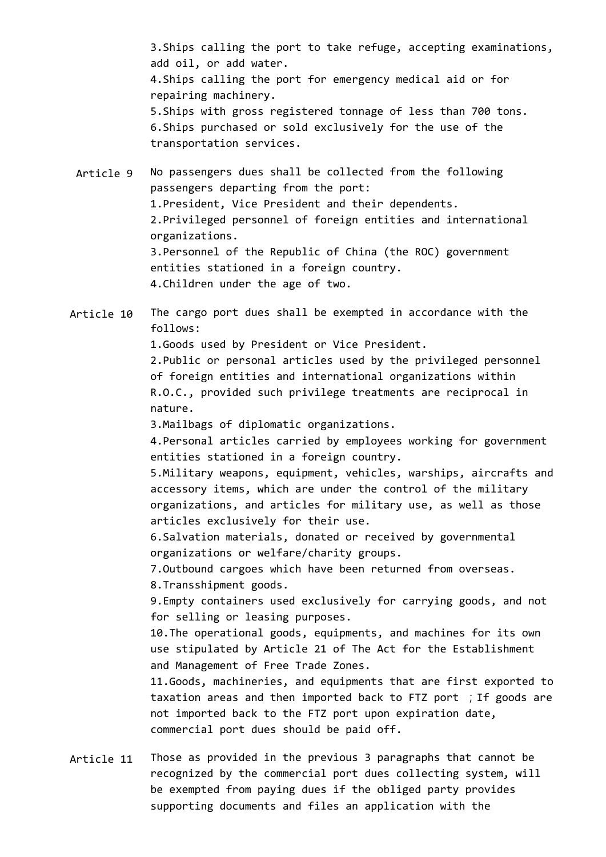3.Ships calling the port to take refuge, accepting examinations, add oil, or add water. 4.Ships calling the port for emergency medical aid or for repairing machinery. 5.Ships with gross registered tonnage of less than 700 tons. 6.Ships purchased or sold exclusively for the use of the transportation services.

Article 9 No passengers dues shall be collected from the following passengers departing from the port: 1.President, Vice President and their dependents. 2.Privileged personnel of foreign entities and international organizations. 3.Personnel of the Republic of China (the ROC) government entities stationed in a foreign country. 4.Children under the age of two.

Article 10 The cargo port dues shall be exempted in accordance with the follows:

1.Goods used by President or Vice President.

2.Public or personal articles used by the privileged personnel of foreign entities and international organizations within R.O.C., provided such privilege treatments are reciprocal in nature.

3.Mailbags of diplomatic organizations.

4.Personal articles carried by employees working for government entities stationed in a foreign country.

5.Military weapons, equipment, vehicles, warships, aircrafts and accessory items, which are under the control of the military organizations, and articles for military use, as well as those articles exclusively for their use.

6.Salvation materials, donated or received by governmental organizations or welfare/charity groups.

7.Outbound cargoes which have been returned from overseas. 8.Transshipment goods.

9.Empty containers used exclusively for carrying goods, and not for selling or leasing purposes.

10.The operational goods, equipments, and machines for its own use stipulated by Article 21 of The Act for the Establishment and Management of Free Trade Zones.

11.Goods, machineries, and equipments that are first exported to taxation areas and then imported back to FTZ port ;If goods are not imported back to the FTZ port upon expiration date, commercial port dues should be paid off.

Article 11 Those as provided in the previous 3 paragraphs that cannot be recognized by the commercial port dues collecting system, will be exempted from paying dues if the obliged party provides supporting documents and files an application with the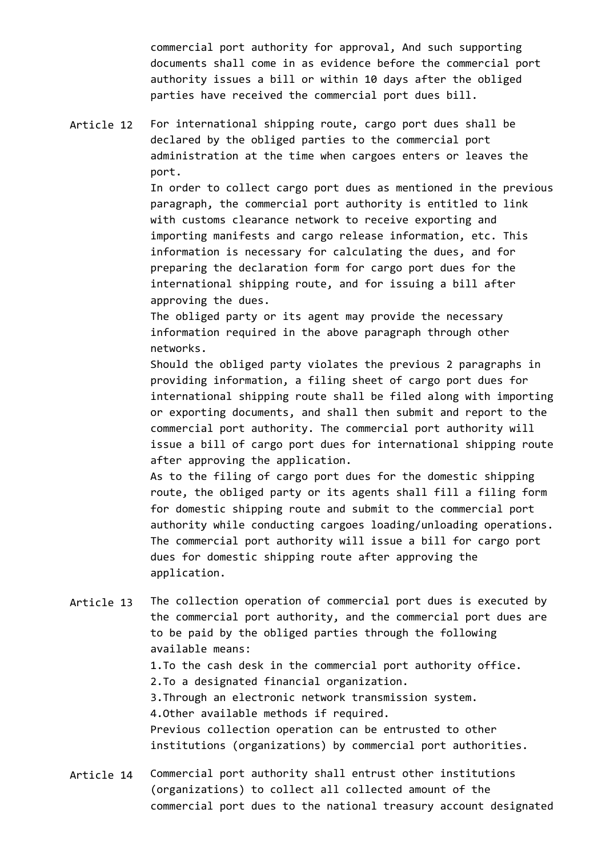commercial port authority for approval, And such supporting documents shall come in as evidence before the commercial port authority issues a bill or within 10 days after the obliged parties have received the commercial port dues bill.

Article 12 For international shipping route, cargo port dues shall be declared by the obliged parties to the commercial port administration at the time when cargoes enters or leaves the port.

> In order to collect cargo port dues as mentioned in the previous paragraph, the commercial port authority is entitled to link with customs clearance network to receive exporting and importing manifests and cargo release information, etc. This information is necessary for calculating the dues, and for preparing the declaration form for cargo port dues for the international shipping route, and for issuing a bill after approving the dues.

The obliged party or its agent may provide the necessary information required in the above paragraph through other networks.

Should the obliged party violates the previous 2 paragraphs in providing information, a filing sheet of cargo port dues for international shipping route shall be filed along with importing or exporting documents, and shall then submit and report to the commercial port authority. The commercial port authority will issue a bill of cargo port dues for international shipping route after approving the application.

As to the filing of cargo port dues for the domestic shipping route, the obliged party or its agents shall fill a filing form for domestic shipping route and submit to the commercial port authority while conducting cargoes loading/unloading operations. The commercial port authority will issue a bill for cargo port dues for domestic shipping route after approving the application.

- Article 13 The collection operation of commercial port dues is executed by the commercial port authority, and the commercial port dues are to be paid by the obliged parties through the following available means: 1.To the cash desk in the commercial port authority office. 2.To a designated financial organization. 3.Through an electronic network transmission system. 4.Other available methods if required. Previous collection operation can be entrusted to other institutions (organizations) by commercial port authorities.
- Article 14 Commercial port authority shall entrust other institutions (organizations) to collect all collected amount of the commercial port dues to the national treasury account designated